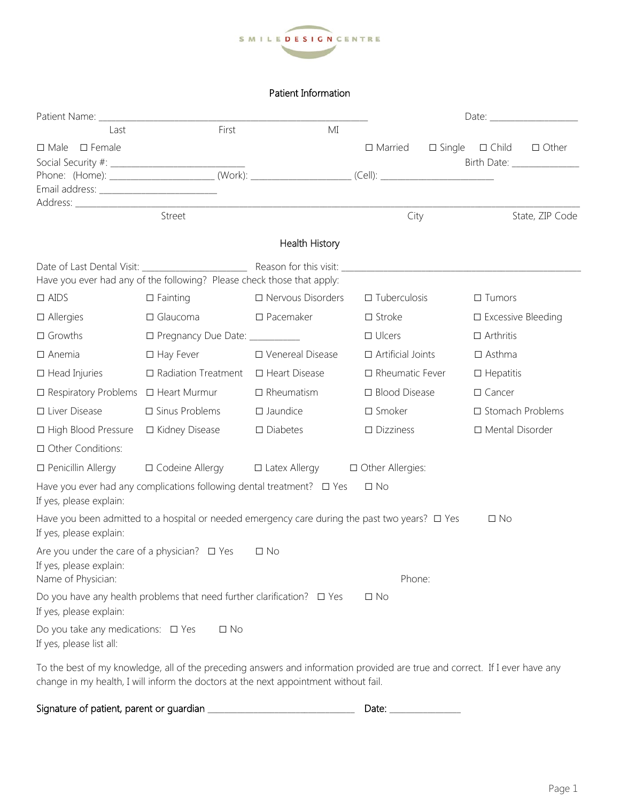

## Patient Information

| Last                                                                         | First                                                                                                                       | MI                                           |                          |                  |                              |                             |
|------------------------------------------------------------------------------|-----------------------------------------------------------------------------------------------------------------------------|----------------------------------------------|--------------------------|------------------|------------------------------|-----------------------------|
| $\Box$ Male $\Box$ Female                                                    |                                                                                                                             |                                              | $\Box$ Married           | $\square$ Single | $\Box$ Child                 | $\Box$ Other                |
|                                                                              |                                                                                                                             |                                              |                          |                  |                              | Birth Date: _______________ |
|                                                                              | Phone: (Home): _________________________(Work): ______________________(Cell): ___________________________                   |                                              |                          |                  |                              |                             |
|                                                                              |                                                                                                                             |                                              |                          |                  |                              |                             |
|                                                                              | Street                                                                                                                      |                                              | City                     |                  | State, ZIP Code              |                             |
|                                                                              |                                                                                                                             |                                              |                          |                  |                              |                             |
|                                                                              |                                                                                                                             | Health History                               |                          |                  |                              |                             |
|                                                                              | Have you ever had any of the following? Please check those that apply:                                                      |                                              |                          |                  |                              |                             |
| $\Box$ AIDS                                                                  | $\Box$ Fainting                                                                                                             | □ Nervous Disorders                          | $\Box$ Tuberculosis      |                  | $\Box$ Tumors                |                             |
| $\Box$ Allergies                                                             | $\Box$ Glaucoma                                                                                                             | $\square$ Pacemaker                          | $\Box$ Stroke            |                  | $\square$ Excessive Bleeding |                             |
| $\Box$ Growths                                                               | □ Pregnancy Due Date: __________                                                                                            |                                              | $\Box$ Ulcers            |                  | $\Box$ Arthritis             |                             |
| $\Box$ Anemia                                                                | $\Box$ Hay Fever                                                                                                            | □ Venereal Disease                           | $\Box$ Artificial Joints |                  | $\square$ Asthma             |                             |
| $\Box$ Head Injuries                                                         | $\Box$ Radiation Treatment                                                                                                  | □ Heart Disease                              | $\Box$ Rheumatic Fever   |                  | $\Box$ Hepatitis             |                             |
| □ Respiratory Problems □ Heart Murmur                                        |                                                                                                                             | $\Box$ Rheumatism                            | □ Blood Disease          |                  | $\square$ Cancer             |                             |
| □ Liver Disease                                                              | $\Box$ Sinus Problems                                                                                                       | $\square$ Jaundice                           | $\square$ Smoker         |                  | □ Stomach Problems           |                             |
| □ High Blood Pressure                                                        | □ Kidney Disease                                                                                                            | $\square$ Diabetes                           | $\Box$ Dizziness         |                  | □ Mental Disorder            |                             |
| □ Other Conditions:                                                          |                                                                                                                             |                                              |                          |                  |                              |                             |
| $\Box$ Penicillin Allergy                                                    | □ Codeine Allergy                                                                                                           | $\Box$ Latex Allergy $\Box$ Other Allergies: |                          |                  |                              |                             |
| If yes, please explain:                                                      | Have you ever had any complications following dental treatment? $\Box$ Yes                                                  |                                              | $\Box$ No                |                  |                              |                             |
| If yes, please explain:                                                      | Have you been admitted to a hospital or needed emergency care during the past two years? $\Box$ Yes                         |                                              |                          |                  | $\Box$ No                    |                             |
| Are you under the care of a physician? $\Box$ Yes<br>If yes, please explain: |                                                                                                                             | $\Box$ No                                    |                          |                  |                              |                             |
| Name of Physician:                                                           |                                                                                                                             |                                              | Phone:                   |                  |                              |                             |
| If yes, please explain:                                                      | Do you have any health problems that need further clarification? $\Box$ Yes                                                 |                                              | $\Box$ No                |                  |                              |                             |
| Do you take any medications: $\Box$ Yes<br>If yes, please list all:          | $\Box$ No                                                                                                                   |                                              |                          |                  |                              |                             |
|                                                                              | To the best of my knowledge, all of the preceding answers and information provided are true and correct. If I ever have any |                                              |                          |                  |                              |                             |

change in my health, I will inform the doctors at the next appointment without fail.

Signature of patient, parent or guardian \_\_\_\_\_\_\_\_\_\_\_\_\_\_\_\_\_\_\_\_\_\_\_\_\_\_\_\_\_\_\_\_\_\_\_ Date: \_\_\_\_\_\_\_\_\_\_\_\_\_\_\_\_\_

|--|